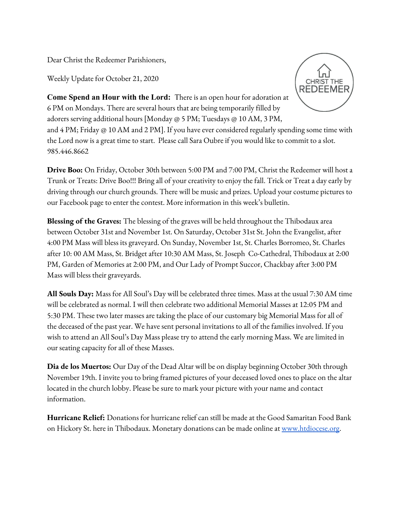Dear Christ the Redeemer Parishioners,

Weekly Update for October 21, 2020



**Come Spend an Hour with the Lord:** There is an open hour for adoration at 6 PM on Mondays. There are several hours that are being temporarily filled by adorers serving additional hours [Monday @ 5 PM; Tuesdays @ 10 AM, 3 PM,

and 4 PM; Friday @ 10 AM and 2 PM]. If you have ever considered regularly spending some time with the Lord now is a great time to start. Please call Sara Oubre if you would like to commit to a slot. 985.446.8662

**Drive Boo:** On Friday, October 30th between 5:00 PM and 7:00 PM, Christ the Redeemer will host a Trunk or Treats: Drive Boo!!! Bring all of your creativity to enjoy the fall. Trick or Treat a day early by driving through our church grounds. There will be music and prizes. Upload your costume pictures to our Facebook page to enter the contest. More information in this week's bulletin.

**Blessing of the Graves:** The blessing of the graves will be held throughout the Thibodaux area between October 31st and November 1st. On Saturday, October 31st St. John the Evangelist, after 4:00 PM Mass will bless its graveyard. On Sunday, November 1st, St. Charles Borromeo, St. Charles after 10: 00 AM Mass, St. Bridget after 10:30 AM Mass, St. Joseph Co-Cathedral, Thibodaux at 2:00 PM, Garden of Memories at 2:00 PM, and Our Lady of Prompt Succor, Chackbay after 3:00 PM Mass will bless their graveyards.

**All Souls Day:** Mass for All Soul's Day will be celebrated three times. Mass at the usual 7:30 AM time will be celebrated as normal. I will then celebrate two additional Memorial Masses at 12:05 PM and 5:30 PM. These two later masses are taking the place of our customary big Memorial Mass for all of the deceased of the past year. We have sent personal invitations to all of the families involved. If you wish to attend an All Soul's Day Mass please try to attend the early morning Mass. We are limited in our seating capacity for all of these Masses.

**Dia de los Muertos:** Our Day of the Dead Altar will be on display beginning October 30th through November 19th. I invite you to bring framed pictures of your deceased loved ones to place on the altar located in the church lobby. Please be sure to mark your picture with your name and contact information.

**Hurricane Relief:** Donations for hurricane relief can still be made at the Good Samaritan Food Bank on Hickory St. here in Thibodaux. Monetary donations can be made online at [www.htdiocese.org](http://www.htdiocese.org/).